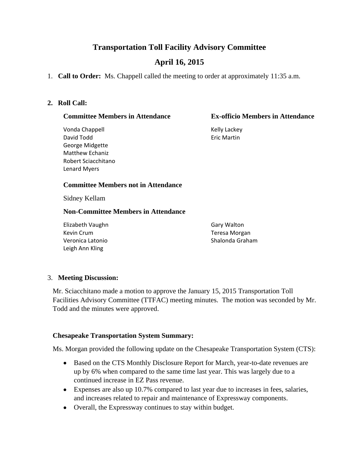# **Transportation Toll Facility Advisory Committee**

# **April 16, 2015**

1. **Call to Order:** Ms. Chappell called the meeting to order at approximately 11:35 a.m.

#### **2. Roll Call:**

#### **Committee Members in Attendance Ex-officio Members in Attendance**

Vonda Chappell **Kelly Lackey** David Todd **Example 20** Section 2014 12:30 Fric Martin George Midgette Matthew Echaniz Robert Sciacchitano Lenard Myers

#### **Committee Members not in Attendance**

Sidney Kellam

#### **Non-Committee Members in Attendance**

Elizabeth Vaughn Gary Walton Kevin Crum Teresa Morgan Veronica Latonio **Shalonda Graham** Leigh Ann Kling

## 3. **Meeting Discussion:**

Mr. Sciacchitano made a motion to approve the January 15, 2015 Transportation Toll Facilities Advisory Committee (TTFAC) meeting minutes. The motion was seconded by Mr. Todd and the minutes were approved.

#### **Chesapeake Transportation System Summary:**

Ms. Morgan provided the following update on the Chesapeake Transportation System (CTS):

- Based on the CTS Monthly Disclosure Report for March, year-to-date revenues are up by 6% when compared to the same time last year. This was largely due to a continued increase in EZ Pass revenue.
- Expenses are also up 10.7% compared to last year due to increases in fees, salaries, and increases related to repair and maintenance of Expressway components.
- Overall, the Expressway continues to stay within budget.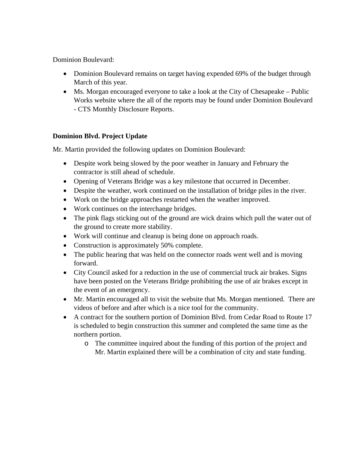Dominion Boulevard:

- Dominion Boulevard remains on target having expended 69% of the budget through March of this year.
- Ms. Morgan encouraged everyone to take a look at the City of Chesapeake Public Works website where the all of the reports may be found under Dominion Boulevard - CTS Monthly Disclosure Reports.

# **Dominion Blvd. Project Update**

Mr. Martin provided the following updates on Dominion Boulevard:

- Despite work being slowed by the poor weather in January and February the contractor is still ahead of schedule.
- Opening of Veterans Bridge was a key milestone that occurred in December.
- Despite the weather, work continued on the installation of bridge piles in the river.
- Work on the bridge approaches restarted when the weather improved.
- Work continues on the interchange bridges.
- The pink flags sticking out of the ground are wick drains which pull the water out of the ground to create more stability.
- Work will continue and cleanup is being done on approach roads.
- Construction is approximately 50% complete.
- The public hearing that was held on the connector roads went well and is moving forward.
- City Council asked for a reduction in the use of commercial truck air brakes. Signs have been posted on the Veterans Bridge prohibiting the use of air brakes except in the event of an emergency.
- Mr. Martin encouraged all to visit the website that Ms. Morgan mentioned. There are videos of before and after which is a nice tool for the community.
- A contract for the southern portion of Dominion Blvd. from Cedar Road to Route 17 is scheduled to begin construction this summer and completed the same time as the northern portion.
	- o The committee inquired about the funding of this portion of the project and Mr. Martin explained there will be a combination of city and state funding.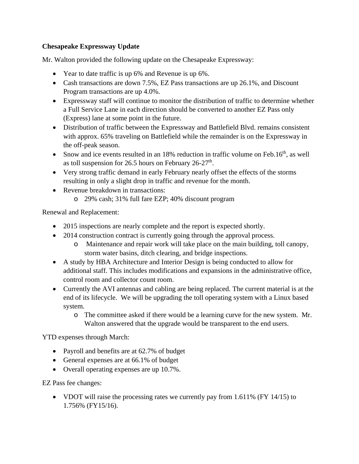# **Chesapeake Expressway Update**

Mr. Walton provided the following update on the Chesapeake Expressway:

- Year to date traffic is up 6% and Revenue is up 6%.
- Cash transactions are down 7.5%, EZ Pass transactions are up 26.1%, and Discount Program transactions are up 4.0%.
- Expressway staff will continue to monitor the distribution of traffic to determine whether a Full Service Lane in each direction should be converted to another EZ Pass only (Express) lane at some point in the future.
- Distribution of traffic between the Expressway and Battlefield Blvd. remains consistent with approx. 65% traveling on Battlefield while the remainder is on the Expressway in the off-peak season.
- Snow and ice events resulted in an  $18\%$  reduction in traffic volume on Feb.16<sup>th</sup>, as well as toll suspension for 26.5 hours on February  $26-27$ <sup>th</sup>.
- Very strong traffic demand in early February nearly offset the effects of the storms resulting in only a slight drop in traffic and revenue for the month.
- Revenue breakdown in transactions:
	- o 29% cash; 31% full fare EZP; 40% discount program

Renewal and Replacement:

- 2015 inspections are nearly complete and the report is expected shortly.
- 2014 construction contract is currently going through the approval process.
	- o Maintenance and repair work will take place on the main building, toll canopy, storm water basins, ditch clearing, and bridge inspections.
- A study by HBA Architecture and Interior Design is being conducted to allow for additional staff. This includes modifications and expansions in the administrative office, control room and collector count room.
- Currently the AVI antennas and cabling are being replaced. The current material is at the end of its lifecycle. We will be upgrading the toll operating system with a Linux based system.
	- o The committee asked if there would be a learning curve for the new system. Mr. Walton answered that the upgrade would be transparent to the end users.

YTD expenses through March:

- Payroll and benefits are at 62.7% of budget
- General expenses are at 66.1% of budget
- Overall operating expenses are up 10.7%.

EZ Pass fee changes:

• VDOT will raise the processing rates we currently pay from  $1.611\%$  (FY 14/15) to 1.756% (FY15/16).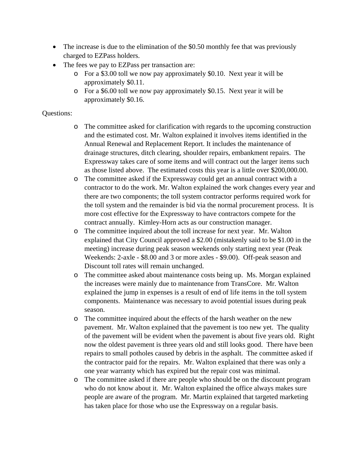- The increase is due to the elimination of the \$0.50 monthly fee that was previously charged to EZPass holders.
- The fees we pay to EZPass per transaction are:
	- o For a \$3.00 toll we now pay approximately \$0.10. Next year it will be approximately \$0.11.
	- o For a \$6.00 toll we now pay approximately \$0.15. Next year it will be approximately \$0.16.

## Questions:

- o The committee asked for clarification with regards to the upcoming construction and the estimated cost. Mr. Walton explained it involves items identified in the Annual Renewal and Replacement Report. It includes the maintenance of drainage structures, ditch clearing, shoulder repairs, embankment repairs. The Expressway takes care of some items and will contract out the larger items such as those listed above. The estimated costs this year is a little over \$200,000.00.
- o The committee asked if the Expressway could get an annual contract with a contractor to do the work. Mr. Walton explained the work changes every year and there are two components; the toll system contractor performs required work for the toll system and the remainder is bid via the normal procurement process. It is more cost effective for the Expressway to have contractors compete for the contract annually. Kimley-Horn acts as our construction manager.
- o The committee inquired about the toll increase for next year. Mr. Walton explained that City Council approved a \$2.00 (mistakenly said to be \$1.00 in the meeting) increase during peak season weekends only starting next year (Peak Weekends: 2-axle - \$8.00 and 3 or more axles - \$9.00). Off-peak season and Discount toll rates will remain unchanged.
- o The committee asked about maintenance costs being up. Ms. Morgan explained the increases were mainly due to maintenance from TransCore. Mr. Walton explained the jump in expenses is a result of end of life items in the toll system components. Maintenance was necessary to avoid potential issues during peak season.
- o The committee inquired about the effects of the harsh weather on the new pavement. Mr. Walton explained that the pavement is too new yet. The quality of the pavement will be evident when the pavement is about five years old. Right now the oldest pavement is three years old and still looks good. There have been repairs to small potholes caused by debris in the asphalt. The committee asked if the contractor paid for the repairs. Mr. Walton explained that there was only a one year warranty which has expired but the repair cost was minimal.
- o The committee asked if there are people who should be on the discount program who do not know about it. Mr. Walton explained the office always makes sure people are aware of the program. Mr. Martin explained that targeted marketing has taken place for those who use the Expressway on a regular basis.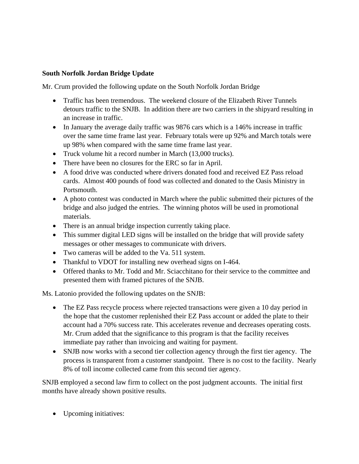## **South Norfolk Jordan Bridge Update**

Mr. Crum provided the following update on the South Norfolk Jordan Bridge

- Traffic has been tremendous. The weekend closure of the Elizabeth River Tunnels detours traffic to the SNJB. In addition there are two carriers in the shipyard resulting in an increase in traffic.
- In January the average daily traffic was 9876 cars which is a 146% increase in traffic over the same time frame last year. February totals were up 92% and March totals were up 98% when compared with the same time frame last year.
- Truck volume hit a record number in March (13,000 trucks).
- There have been no closures for the ERC so far in April.
- A food drive was conducted where drivers donated food and received EZ Pass reload cards. Almost 400 pounds of food was collected and donated to the Oasis Ministry in Portsmouth.
- A photo contest was conducted in March where the public submitted their pictures of the bridge and also judged the entries. The winning photos will be used in promotional materials.
- There is an annual bridge inspection currently taking place.
- This summer digital LED signs will be installed on the bridge that will provide safety messages or other messages to communicate with drivers.
- Two cameras will be added to the Va. 511 system.
- Thankful to VDOT for installing new overhead signs on I-464.
- Offered thanks to Mr. Todd and Mr. Sciacchitano for their service to the committee and presented them with framed pictures of the SNJB.

Ms. Latonio provided the following updates on the SNJB:

- The EZ Pass recycle process where rejected transactions were given a 10 day period in the hope that the customer replenished their EZ Pass account or added the plate to their account had a 70% success rate. This accelerates revenue and decreases operating costs. Mr. Crum added that the significance to this program is that the facility receives immediate pay rather than invoicing and waiting for payment.
- SNJB now works with a second tier collection agency through the first tier agency. The process is transparent from a customer standpoint. There is no cost to the facility. Nearly 8% of toll income collected came from this second tier agency.

SNJB employed a second law firm to collect on the post judgment accounts. The initial first months have already shown positive results.

• Upcoming initiatives: